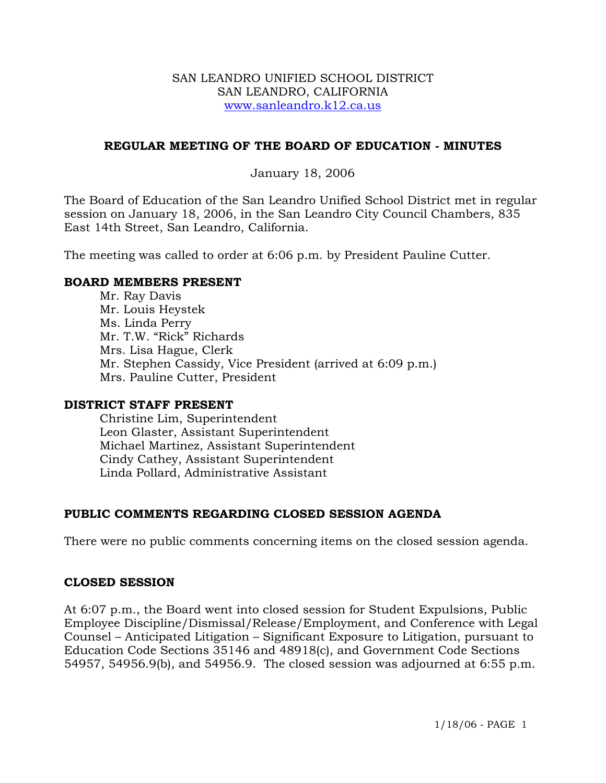### SAN LEANDRO UNIFIED SCHOOL DISTRICT SAN LEANDRO, CALIFORNIA www.sanleandro.k12.ca.us

### **REGULAR MEETING OF THE BOARD OF EDUCATION - MINUTES**

### January 18, 2006

The Board of Education of the San Leandro Unified School District met in regular session on January 18, 2006, in the San Leandro City Council Chambers, 835 East 14th Street, San Leandro, California.

The meeting was called to order at 6:06 p.m. by President Pauline Cutter.

#### **BOARD MEMBERS PRESENT**

Mr. Ray Davis Mr. Louis Heystek Ms. Linda Perry Mr. T.W. "Rick" Richards Mrs. Lisa Hague, Clerk Mr. Stephen Cassidy, Vice President (arrived at 6:09 p.m.) Mrs. Pauline Cutter, President

#### **DISTRICT STAFF PRESENT**

Christine Lim, Superintendent Leon Glaster, Assistant Superintendent Michael Martinez, Assistant Superintendent Cindy Cathey, Assistant Superintendent Linda Pollard, Administrative Assistant

# **PUBLIC COMMENTS REGARDING CLOSED SESSION AGENDA**

There were no public comments concerning items on the closed session agenda.

#### **CLOSED SESSION**

At 6:07 p.m., the Board went into closed session for Student Expulsions, Public Employee Discipline/Dismissal/Release/Employment, and Conference with Legal Counsel – Anticipated Litigation – Significant Exposure to Litigation, pursuant to Education Code Sections 35146 and 48918(c), and Government Code Sections 54957, 54956.9(b), and 54956.9. The closed session was adjourned at 6:55 p.m.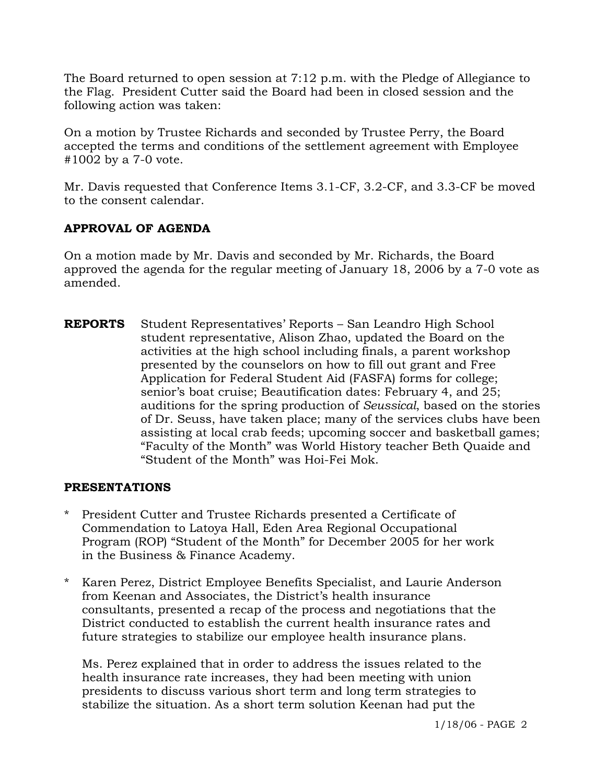The Board returned to open session at 7:12 p.m. with the Pledge of Allegiance to the Flag. President Cutter said the Board had been in closed session and the following action was taken:

On a motion by Trustee Richards and seconded by Trustee Perry, the Board accepted the terms and conditions of the settlement agreement with Employee #1002 by a 7-0 vote.

Mr. Davis requested that Conference Items 3.1-CF, 3.2-CF, and 3.3-CF be moved to the consent calendar.

# **APPROVAL OF AGENDA**

On a motion made by Mr. Davis and seconded by Mr. Richards, the Board approved the agenda for the regular meeting of January 18, 2006 by a 7-0 vote as amended.

**REPORTS** Student Representatives' Reports – San Leandro High School student representative, Alison Zhao, updated the Board on the activities at the high school including finals, a parent workshop presented by the counselors on how to fill out grant and Free Application for Federal Student Aid (FASFA) forms for college; senior's boat cruise; Beautification dates: February 4, and 25; auditions for the spring production of *Seussical*, based on the stories of Dr. Seuss, have taken place; many of the services clubs have been assisting at local crab feeds; upcoming soccer and basketball games; "Faculty of the Month" was World History teacher Beth Quaide and "Student of the Month" was Hoi-Fei Mok.

# **PRESENTATIONS**

- \* President Cutter and Trustee Richards presented a Certificate of Commendation to Latoya Hall, Eden Area Regional Occupational Program (ROP) "Student of the Month" for December 2005 for her work in the Business & Finance Academy.
- \* Karen Perez, District Employee Benefits Specialist, and Laurie Anderson from Keenan and Associates, the District's health insurance consultants, presented a recap of the process and negotiations that the District conducted to establish the current health insurance rates and future strategies to stabilize our employee health insurance plans.

 Ms. Perez explained that in order to address the issues related to the health insurance rate increases, they had been meeting with union presidents to discuss various short term and long term strategies to stabilize the situation. As a short term solution Keenan had put the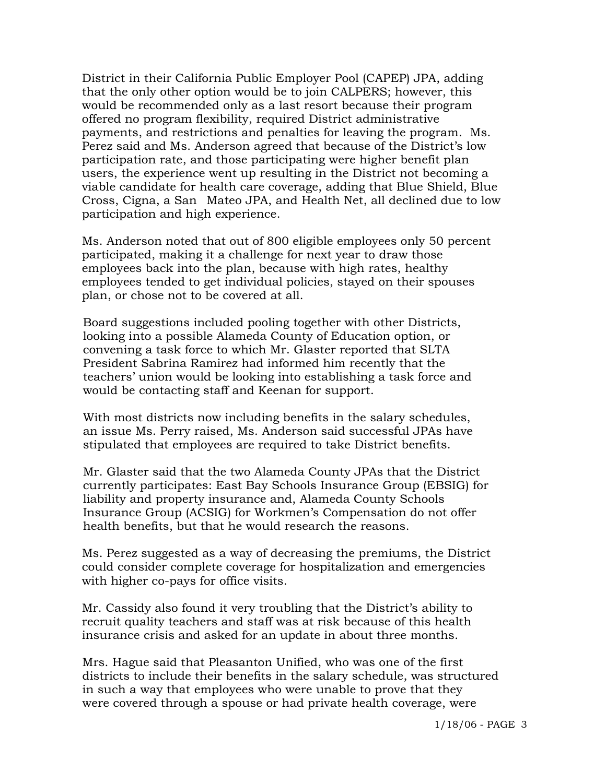District in their California Public Employer Pool (CAPEP) JPA, adding that the only other option would be to join CALPERS; however, this would be recommended only as a last resort because their program offered no program flexibility, required District administrative payments, and restrictions and penalties for leaving the program. Ms. Perez said and Ms. Anderson agreed that because of the District's low participation rate, and those participating were higher benefit plan users, the experience went up resulting in the District not becoming a viable candidate for health care coverage, adding that Blue Shield, Blue Cross, Cigna, a San Mateo JPA, and Health Net, all declined due to low participation and high experience.

 Ms. Anderson noted that out of 800 eligible employees only 50 percent participated, making it a challenge for next year to draw those employees back into the plan, because with high rates, healthy employees tended to get individual policies, stayed on their spouses plan, or chose not to be covered at all.

 Board suggestions included pooling together with other Districts, looking into a possible Alameda County of Education option, or convening a task force to which Mr. Glaster reported that SLTA President Sabrina Ramirez had informed him recently that the teachers' union would be looking into establishing a task force and would be contacting staff and Keenan for support.

 With most districts now including benefits in the salary schedules, an issue Ms. Perry raised, Ms. Anderson said successful JPAs have stipulated that employees are required to take District benefits.

 Mr. Glaster said that the two Alameda County JPAs that the District currently participates: East Bay Schools Insurance Group (EBSIG) for liability and property insurance and, Alameda County Schools Insurance Group (ACSIG) for Workmen's Compensation do not offer health benefits, but that he would research the reasons.

 Ms. Perez suggested as a way of decreasing the premiums, the District could consider complete coverage for hospitalization and emergencies with higher co-pays for office visits.

 Mr. Cassidy also found it very troubling that the District's ability to recruit quality teachers and staff was at risk because of this health insurance crisis and asked for an update in about three months.

 Mrs. Hague said that Pleasanton Unified, who was one of the first districts to include their benefits in the salary schedule, was structured in such a way that employees who were unable to prove that they were covered through a spouse or had private health coverage, were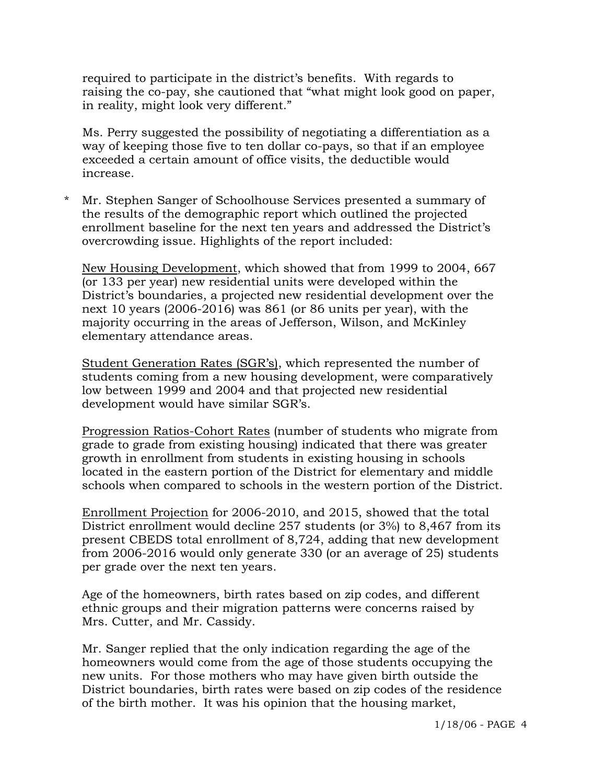required to participate in the district's benefits. With regards to raising the co-pay, she cautioned that "what might look good on paper, in reality, might look very different."

 Ms. Perry suggested the possibility of negotiating a differentiation as a way of keeping those five to ten dollar co-pays, so that if an employee exceeded a certain amount of office visits, the deductible would increase.

\* Mr. Stephen Sanger of Schoolhouse Services presented a summary of the results of the demographic report which outlined the projected enrollment baseline for the next ten years and addressed the District's overcrowding issue. Highlights of the report included:

New Housing Development, which showed that from 1999 to 2004, 667 (or 133 per year) new residential units were developed within the District's boundaries, a projected new residential development over the next 10 years (2006-2016) was 861 (or 86 units per year), with the majority occurring in the areas of Jefferson, Wilson, and McKinley elementary attendance areas.

 Student Generation Rates (SGR's), which represented the number of students coming from a new housing development, were comparatively low between 1999 and 2004 and that projected new residential development would have similar SGR's.

 Progression Ratios-Cohort Rates (number of students who migrate from grade to grade from existing housing) indicated that there was greater growth in enrollment from students in existing housing in schools located in the eastern portion of the District for elementary and middle schools when compared to schools in the western portion of the District.

 Enrollment Projection for 2006-2010, and 2015, showed that the total District enrollment would decline 257 students (or 3%) to 8,467 from its present CBEDS total enrollment of 8,724, adding that new development from 2006-2016 would only generate 330 (or an average of 25) students per grade over the next ten years.

Age of the homeowners, birth rates based on zip codes, and different ethnic groups and their migration patterns were concerns raised by Mrs. Cutter, and Mr. Cassidy.

Mr. Sanger replied that the only indication regarding the age of the homeowners would come from the age of those students occupying the new units. For those mothers who may have given birth outside the District boundaries, birth rates were based on zip codes of the residence of the birth mother. It was his opinion that the housing market,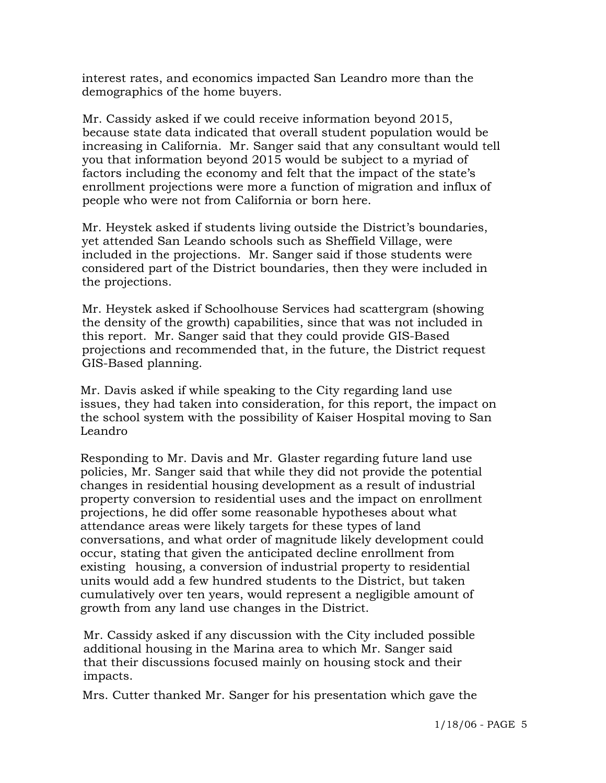interest rates, and economics impacted San Leandro more than the demographics of the home buyers.

 Mr. Cassidy asked if we could receive information beyond 2015, because state data indicated that overall student population would be increasing in California. Mr. Sanger said that any consultant would tell you that information beyond 2015 would be subject to a myriad of factors including the economy and felt that the impact of the state's enrollment projections were more a function of migration and influx of people who were not from California or born here.

 Mr. Heystek asked if students living outside the District's boundaries, yet attended San Leando schools such as Sheffield Village, were included in the projections. Mr. Sanger said if those students were considered part of the District boundaries, then they were included in the projections.

 Mr. Heystek asked if Schoolhouse Services had scattergram (showing the density of the growth) capabilities, since that was not included in this report. Mr. Sanger said that they could provide GIS-Based projections and recommended that, in the future, the District request GIS-Based planning.

 Mr. Davis asked if while speaking to the City regarding land use issues, they had taken into consideration, for this report, the impact on the school system with the possibility of Kaiser Hospital moving to San Leandro

 Responding to Mr. Davis and Mr. Glaster regarding future land use policies, Mr. Sanger said that while they did not provide the potential changes in residential housing development as a result of industrial property conversion to residential uses and the impact on enrollment projections, he did offer some reasonable hypotheses about what attendance areas were likely targets for these types of land conversations, and what order of magnitude likely development could occur, stating that given the anticipated decline enrollment from existing housing, a conversion of industrial property to residential units would add a few hundred students to the District, but taken cumulatively over ten years, would represent a negligible amount of growth from any land use changes in the District.

 Mr. Cassidy asked if any discussion with the City included possible additional housing in the Marina area to which Mr. Sanger said that their discussions focused mainly on housing stock and their impacts.

Mrs. Cutter thanked Mr. Sanger for his presentation which gave the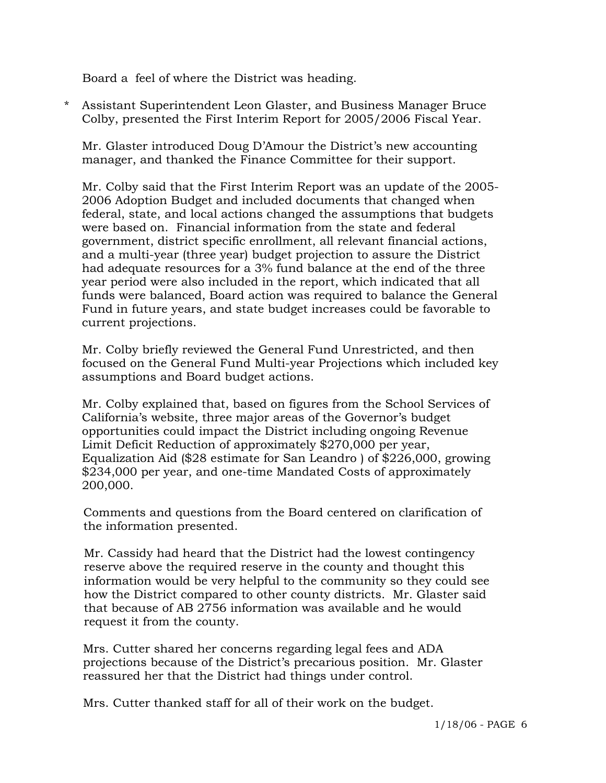Board a feel of where the District was heading.

\* Assistant Superintendent Leon Glaster, and Business Manager Bruce Colby, presented the First Interim Report for 2005/2006 Fiscal Year.

Mr. Glaster introduced Doug D'Amour the District's new accounting manager, and thanked the Finance Committee for their support.

 Mr. Colby said that the First Interim Report was an update of the 2005- 2006 Adoption Budget and included documents that changed when federal, state, and local actions changed the assumptions that budgets were based on. Financial information from the state and federal government, district specific enrollment, all relevant financial actions, and a multi-year (three year) budget projection to assure the District had adequate resources for a 3% fund balance at the end of the three year period were also included in the report, which indicated that all funds were balanced, Board action was required to balance the General Fund in future years, and state budget increases could be favorable to current projections.

 Mr. Colby briefly reviewed the General Fund Unrestricted, and then focused on the General Fund Multi-year Projections which included key assumptions and Board budget actions.

 Mr. Colby explained that, based on figures from the School Services of California's website, three major areas of the Governor's budget opportunities could impact the District including ongoing Revenue Limit Deficit Reduction of approximately \$270,000 per year, Equalization Aid (\$28 estimate for San Leandro ) of \$226,000, growing \$234,000 per year, and one-time Mandated Costs of approximately 200,000.

 Comments and questions from the Board centered on clarification of the information presented.

 Mr. Cassidy had heard that the District had the lowest contingency reserve above the required reserve in the county and thought this information would be very helpful to the community so they could see how the District compared to other county districts. Mr. Glaster said that because of AB 2756 information was available and he would request it from the county.

 Mrs. Cutter shared her concerns regarding legal fees and ADA projections because of the District's precarious position. Mr. Glaster reassured her that the District had things under control.

Mrs. Cutter thanked staff for all of their work on the budget.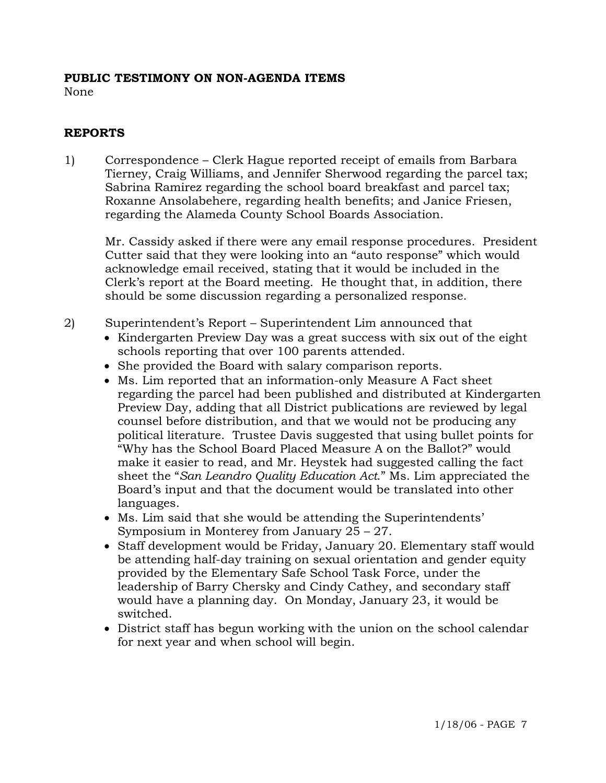# **PUBLIC TESTIMONY ON NON-AGENDA ITEMS**

None

# **REPORTS**

1) Correspondence – Clerk Hague reported receipt of emails from Barbara Tierney, Craig Williams, and Jennifer Sherwood regarding the parcel tax; Sabrina Ramirez regarding the school board breakfast and parcel tax; Roxanne Ansolabehere, regarding health benefits; and Janice Friesen, regarding the Alameda County School Boards Association.

Mr. Cassidy asked if there were any email response procedures. President Cutter said that they were looking into an "auto response" which would acknowledge email received, stating that it would be included in the Clerk's report at the Board meeting. He thought that, in addition, there should be some discussion regarding a personalized response.

- 2) Superintendent's Report Superintendent Lim announced that
	- Kindergarten Preview Day was a great success with six out of the eight schools reporting that over 100 parents attended.
	- She provided the Board with salary comparison reports.
	- Ms. Lim reported that an information-only Measure A Fact sheet regarding the parcel had been published and distributed at Kindergarten Preview Day, adding that all District publications are reviewed by legal counsel before distribution, and that we would not be producing any political literature. Trustee Davis suggested that using bullet points for "Why has the School Board Placed Measure A on the Ballot?" would make it easier to read, and Mr. Heystek had suggested calling the fact sheet the "*San Leandro Quality Education Act*." Ms. Lim appreciated the Board's input and that the document would be translated into other languages.
	- Ms. Lim said that she would be attending the Superintendents' Symposium in Monterey from January 25 – 27.
	- Staff development would be Friday, January 20. Elementary staff would be attending half-day training on sexual orientation and gender equity provided by the Elementary Safe School Task Force, under the leadership of Barry Chersky and Cindy Cathey, and secondary staff would have a planning day. On Monday, January 23, it would be switched.
	- District staff has begun working with the union on the school calendar for next year and when school will begin.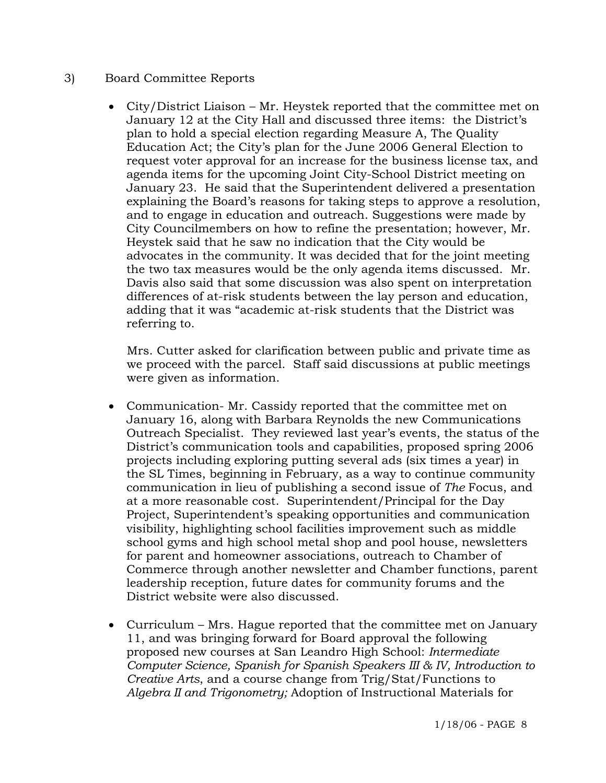# 3) Board Committee Reports

• City/District Liaison – Mr. Heystek reported that the committee met on January 12 at the City Hall and discussed three items: the District's plan to hold a special election regarding Measure A, The Quality Education Act; the City's plan for the June 2006 General Election to request voter approval for an increase for the business license tax, and agenda items for the upcoming Joint City-School District meeting on January 23. He said that the Superintendent delivered a presentation explaining the Board's reasons for taking steps to approve a resolution, and to engage in education and outreach. Suggestions were made by City Councilmembers on how to refine the presentation; however, Mr. Heystek said that he saw no indication that the City would be advocates in the community. It was decided that for the joint meeting the two tax measures would be the only agenda items discussed. Mr. Davis also said that some discussion was also spent on interpretation differences of at-risk students between the lay person and education, adding that it was "academic at-risk students that the District was referring to.

 Mrs. Cutter asked for clarification between public and private time as we proceed with the parcel. Staff said discussions at public meetings were given as information.

- Communication- Mr. Cassidy reported that the committee met on January 16, along with Barbara Reynolds the new Communications Outreach Specialist. They reviewed last year's events, the status of the District's communication tools and capabilities, proposed spring 2006 projects including exploring putting several ads (six times a year) in the SL Times, beginning in February, as a way to continue community communication in lieu of publishing a second issue of *The* Focus, and at a more reasonable cost. Superintendent/Principal for the Day Project, Superintendent's speaking opportunities and communication visibility, highlighting school facilities improvement such as middle school gyms and high school metal shop and pool house, newsletters for parent and homeowner associations, outreach to Chamber of Commerce through another newsletter and Chamber functions, parent leadership reception, future dates for community forums and the District website were also discussed.
- Curriculum Mrs. Hague reported that the committee met on January 11, and was bringing forward for Board approval the following proposed new courses at San Leandro High School: *Intermediate Computer Science, Spanish for Spanish Speakers III & IV, Introduction to Creative Arts*, and a course change from Trig/Stat/Functions to *Algebra II and Trigonometry;* Adoption of Instructional Materials for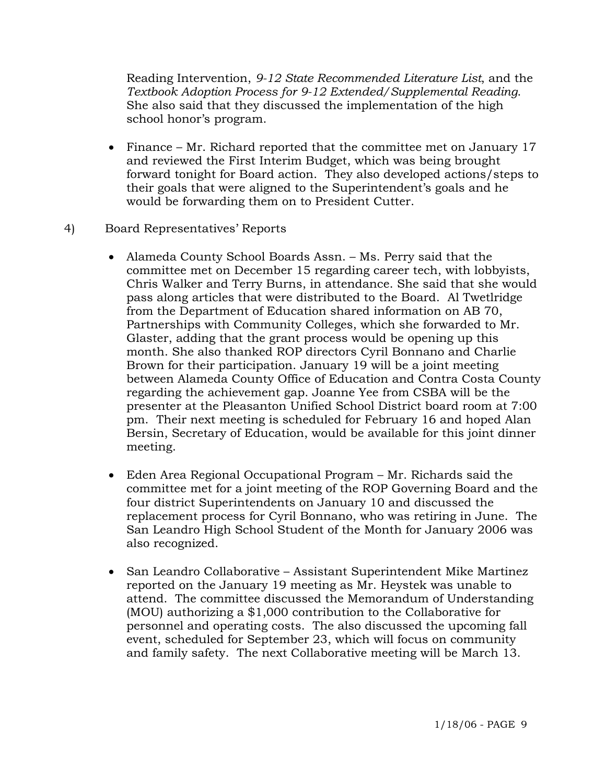Reading Intervention, *9-12 State Recommended Literature List*, and the *Textbook Adoption Process for 9-12 Extended/Supplemental Reading*. She also said that they discussed the implementation of the high school honor's program.

- Finance Mr. Richard reported that the committee met on January 17 and reviewed the First Interim Budget, which was being brought forward tonight for Board action. They also developed actions/steps to their goals that were aligned to the Superintendent's goals and he would be forwarding them on to President Cutter.
- 4) Board Representatives' Reports
	- Alameda County School Boards Assn. Ms. Perry said that the committee met on December 15 regarding career tech, with lobbyists, Chris Walker and Terry Burns, in attendance. She said that she would pass along articles that were distributed to the Board. Al Twetlridge from the Department of Education shared information on AB 70, Partnerships with Community Colleges, which she forwarded to Mr. Glaster, adding that the grant process would be opening up this month. She also thanked ROP directors Cyril Bonnano and Charlie Brown for their participation. January 19 will be a joint meeting between Alameda County Office of Education and Contra Costa County regarding the achievement gap. Joanne Yee from CSBA will be the presenter at the Pleasanton Unified School District board room at 7:00 pm. Their next meeting is scheduled for February 16 and hoped Alan Bersin, Secretary of Education, would be available for this joint dinner meeting.
	- Eden Area Regional Occupational Program Mr. Richards said the committee met for a joint meeting of the ROP Governing Board and the four district Superintendents on January 10 and discussed the replacement process for Cyril Bonnano, who was retiring in June. The San Leandro High School Student of the Month for January 2006 was also recognized.
	- San Leandro Collaborative Assistant Superintendent Mike Martinez reported on the January 19 meeting as Mr. Heystek was unable to attend. The committee discussed the Memorandum of Understanding (MOU) authorizing a \$1,000 contribution to the Collaborative for personnel and operating costs. The also discussed the upcoming fall event, scheduled for September 23, which will focus on community and family safety. The next Collaborative meeting will be March 13.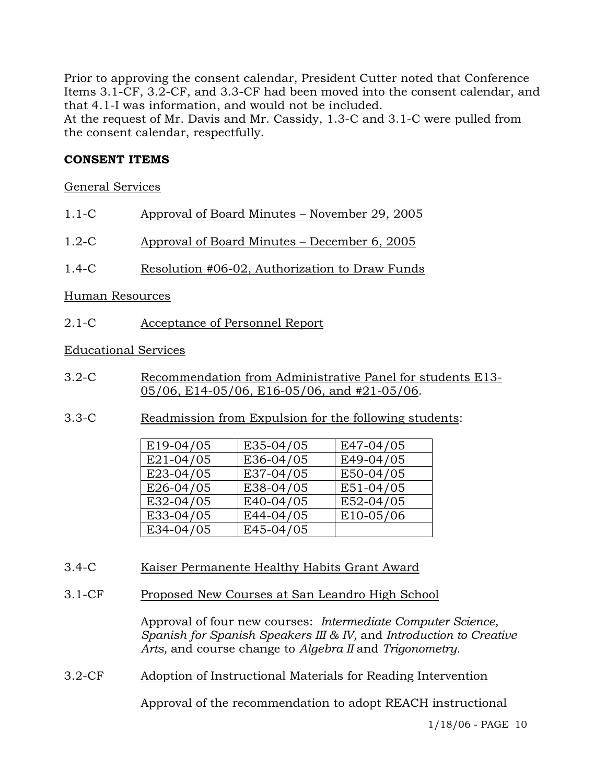Prior to approving the consent calendar, President Cutter noted that Conference Items 3.1-CF, 3.2-CF, and 3.3-CF had been moved into the consent calendar, and that 4.1-I was information, and would not be included.

At the request of Mr. Davis and Mr. Cassidy, 1.3-C and 3.1-C were pulled from the consent calendar, respectfully.

# **CONSENT ITEMS**

# General Services

- 1.1-C Approval of Board Minutes November 29, 2005
- 1.2-C Approval of Board Minutes December 6, 2005
- 1.4-C Resolution #06-02, Authorization to Draw Funds

# Human Resources

2.1-C Acceptance of Personnel Report

# Educational Services

- 3.2-C Recommendation from Administrative Panel for students E13- 05/06, E14-05/06, E16-05/06, and #21-05/06.
- 3.3-C Readmission from Expulsion for the following students:

| E19-04/05   | E35-04/05 | E47-04/05 |
|-------------|-----------|-----------|
| $E21-04/05$ | E36-04/05 | E49-04/05 |
| E23-04/05   | E37-04/05 | E50-04/05 |
| $E26-04/05$ | E38-04/05 | E51-04/05 |
| E32-04/05   | E40-04/05 | E52-04/05 |
| E33-04/05   | E44-04/05 | E10-05/06 |
| E34-04/05   | E45-04/05 |           |

- 3.4-C Kaiser Permanente Healthy Habits Grant Award
- 3.1-CF Proposed New Courses at San Leandro High School

Approval of four new courses: *Intermediate Computer Science, Spanish for Spanish Speakers III & IV,* and *Introduction to Creative Arts,* and course change to *Algebra II* and *Trigonometry.* 

3.2-CF Adoption of Instructional Materials for Reading Intervention

Approval of the recommendation to adopt REACH instructional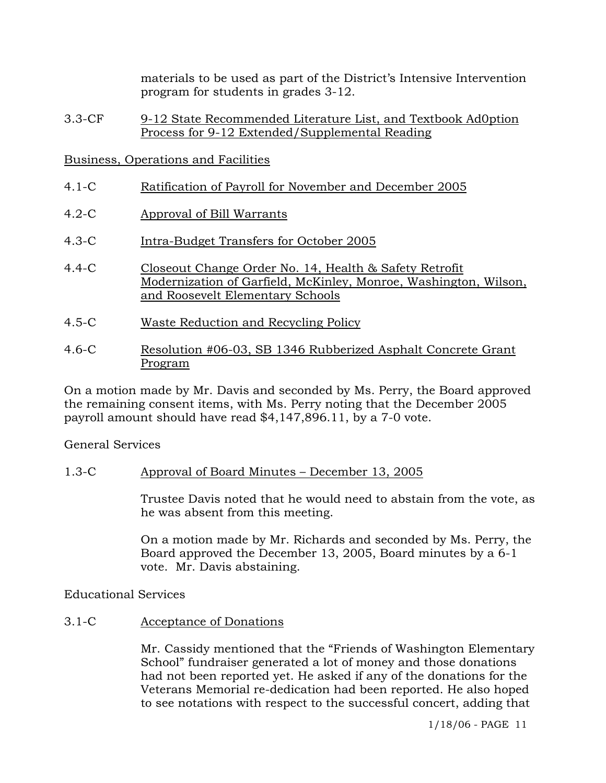materials to be used as part of the District's Intensive Intervention program for students in grades 3-12.

3.3-CF 9-12 State Recommended Literature List, and Textbook Ad0ption Process for 9-12 Extended/Supplemental Reading

# Business, Operations and Facilities

- 4.1-C Ratification of Payroll for November and December 2005
- 4.2-C Approval of Bill Warrants
- 4.3-C Intra-Budget Transfers for October 2005
- 4.4-C Closeout Change Order No. 14, Health & Safety Retrofit Modernization of Garfield, McKinley, Monroe, Washington, Wilson, and Roosevelt Elementary Schools
- 4.5-C Waste Reduction and Recycling Policy
- 4.6-C Resolution #06-03, SB 1346 Rubberized Asphalt Concrete Grant Program

On a motion made by Mr. Davis and seconded by Ms. Perry, the Board approved the remaining consent items, with Ms. Perry noting that the December 2005 payroll amount should have read \$4,147,896.11, by a 7-0 vote.

General Services

# 1.3-C Approval of Board Minutes – December 13, 2005

Trustee Davis noted that he would need to abstain from the vote, as he was absent from this meeting.

On a motion made by Mr. Richards and seconded by Ms. Perry, the Board approved the December 13, 2005, Board minutes by a 6-1 vote. Mr. Davis abstaining.

Educational Services

3.1-C Acceptance of Donations

Mr. Cassidy mentioned that the "Friends of Washington Elementary School" fundraiser generated a lot of money and those donations had not been reported yet. He asked if any of the donations for the Veterans Memorial re-dedication had been reported. He also hoped to see notations with respect to the successful concert, adding that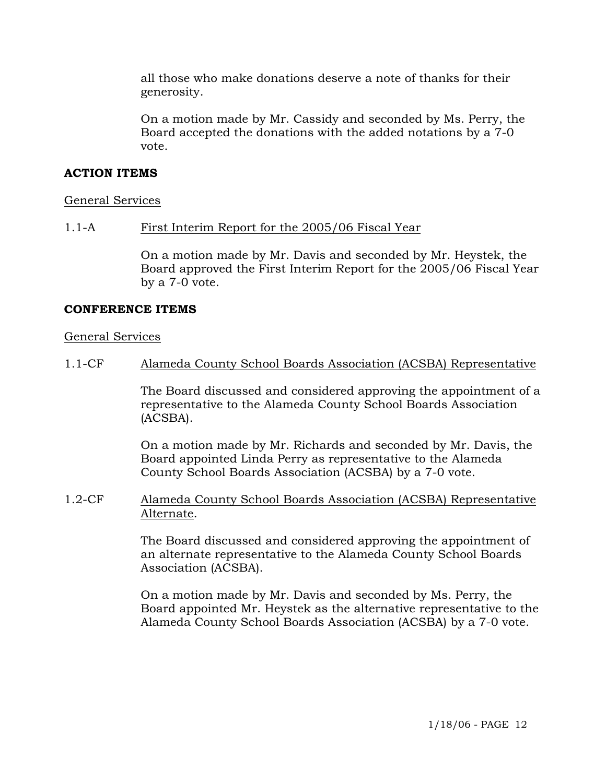all those who make donations deserve a note of thanks for their generosity.

On a motion made by Mr. Cassidy and seconded by Ms. Perry, the Board accepted the donations with the added notations by a 7-0 vote.

### **ACTION ITEMS**

#### General Services

1.1-A First Interim Report for the 2005/06 Fiscal Year

On a motion made by Mr. Davis and seconded by Mr. Heystek, the Board approved the First Interim Report for the 2005/06 Fiscal Year by a 7-0 vote.

#### **CONFERENCE ITEMS**

#### General Services

1.1-CF Alameda County School Boards Association (ACSBA) Representative

The Board discussed and considered approving the appointment of a representative to the Alameda County School Boards Association (ACSBA).

On a motion made by Mr. Richards and seconded by Mr. Davis, the Board appointed Linda Perry as representative to the Alameda County School Boards Association (ACSBA) by a 7-0 vote.

1.2-CF Alameda County School Boards Association (ACSBA) Representative Alternate.

> The Board discussed and considered approving the appointment of an alternate representative to the Alameda County School Boards Association (ACSBA).

On a motion made by Mr. Davis and seconded by Ms. Perry, the Board appointed Mr. Heystek as the alternative representative to the Alameda County School Boards Association (ACSBA) by a 7-0 vote.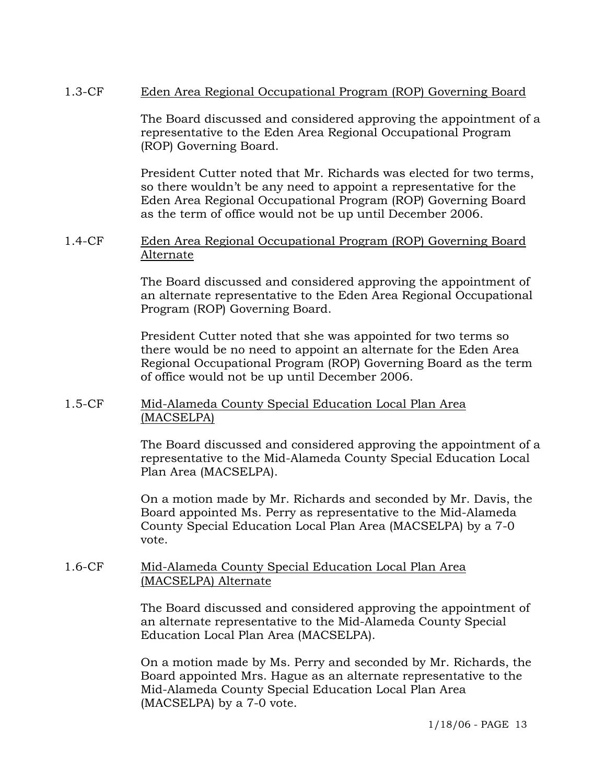### 1.3-CF Eden Area Regional Occupational Program (ROP) Governing Board

The Board discussed and considered approving the appointment of a representative to the Eden Area Regional Occupational Program (ROP) Governing Board.

President Cutter noted that Mr. Richards was elected for two terms, so there wouldn't be any need to appoint a representative for the Eden Area Regional Occupational Program (ROP) Governing Board as the term of office would not be up until December 2006.

### 1.4-CF Eden Area Regional Occupational Program (ROP) Governing Board Alternate

The Board discussed and considered approving the appointment of an alternate representative to the Eden Area Regional Occupational Program (ROP) Governing Board.

President Cutter noted that she was appointed for two terms so there would be no need to appoint an alternate for the Eden Area Regional Occupational Program (ROP) Governing Board as the term of office would not be up until December 2006.

# 1.5-CF Mid-Alameda County Special Education Local Plan Area (MACSELPA)

The Board discussed and considered approving the appointment of a representative to the Mid-Alameda County Special Education Local Plan Area (MACSELPA).

On a motion made by Mr. Richards and seconded by Mr. Davis, the Board appointed Ms. Perry as representative to the Mid-Alameda County Special Education Local Plan Area (MACSELPA) by a 7-0 vote.

# 1.6-CF Mid-Alameda County Special Education Local Plan Area (MACSELPA) Alternate

The Board discussed and considered approving the appointment of an alternate representative to the Mid-Alameda County Special Education Local Plan Area (MACSELPA).

On a motion made by Ms. Perry and seconded by Mr. Richards, the Board appointed Mrs. Hague as an alternate representative to the Mid-Alameda County Special Education Local Plan Area (MACSELPA) by a 7-0 vote.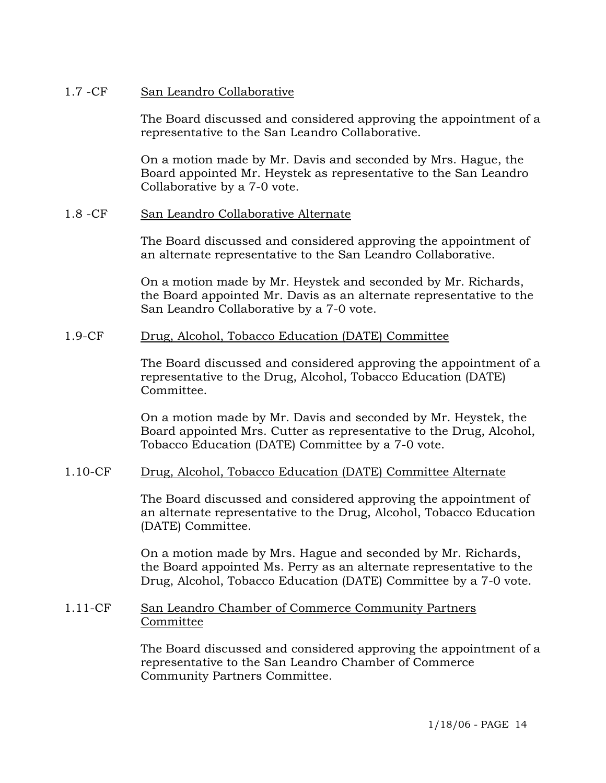### 1.7 -CF San Leandro Collaborative

The Board discussed and considered approving the appointment of a representative to the San Leandro Collaborative.

On a motion made by Mr. Davis and seconded by Mrs. Hague, the Board appointed Mr. Heystek as representative to the San Leandro Collaborative by a 7-0 vote.

#### 1.8 -CF San Leandro Collaborative Alternate

The Board discussed and considered approving the appointment of an alternate representative to the San Leandro Collaborative.

On a motion made by Mr. Heystek and seconded by Mr. Richards, the Board appointed Mr. Davis as an alternate representative to the San Leandro Collaborative by a 7-0 vote.

### 1.9-CF Drug, Alcohol, Tobacco Education (DATE) Committee

The Board discussed and considered approving the appointment of a representative to the Drug, Alcohol, Tobacco Education (DATE) Committee.

On a motion made by Mr. Davis and seconded by Mr. Heystek, the Board appointed Mrs. Cutter as representative to the Drug, Alcohol, Tobacco Education (DATE) Committee by a 7-0 vote.

# 1.10-CF Drug, Alcohol, Tobacco Education (DATE) Committee Alternate

The Board discussed and considered approving the appointment of an alternate representative to the Drug, Alcohol, Tobacco Education (DATE) Committee.

On a motion made by Mrs. Hague and seconded by Mr. Richards, the Board appointed Ms. Perry as an alternate representative to the Drug, Alcohol, Tobacco Education (DATE) Committee by a 7-0 vote.

### 1.11-CF San Leandro Chamber of Commerce Community Partners Committee

The Board discussed and considered approving the appointment of a representative to the San Leandro Chamber of Commerce Community Partners Committee.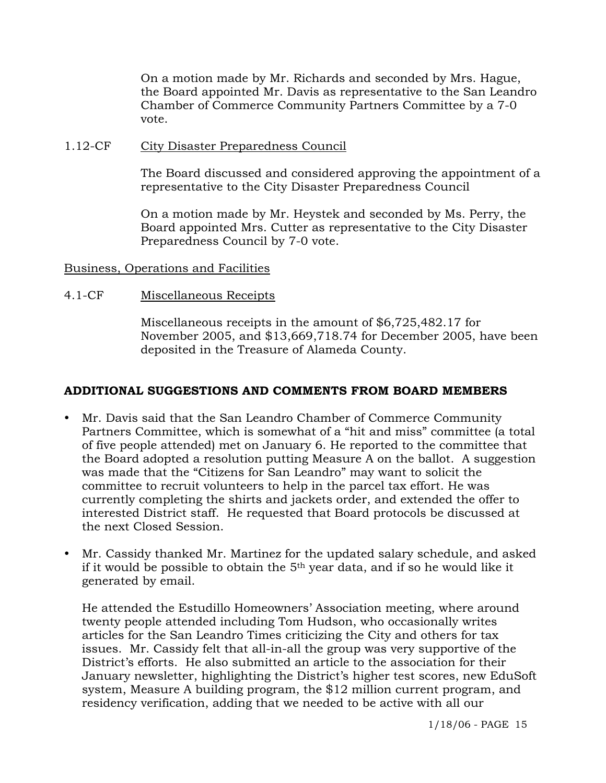On a motion made by Mr. Richards and seconded by Mrs. Hague, the Board appointed Mr. Davis as representative to the San Leandro Chamber of Commerce Community Partners Committee by a 7-0 vote.

#### 1.12-CF City Disaster Preparedness Council

The Board discussed and considered approving the appointment of a representative to the City Disaster Preparedness Council

On a motion made by Mr. Heystek and seconded by Ms. Perry, the Board appointed Mrs. Cutter as representative to the City Disaster Preparedness Council by 7-0 vote.

#### Business, Operations and Facilities

#### 4.1-CF Miscellaneous Receipts

Miscellaneous receipts in the amount of \$6,725,482.17 for November 2005, and \$13,669,718.74 for December 2005, have been deposited in the Treasure of Alameda County.

#### **ADDITIONAL SUGGESTIONS AND COMMENTS FROM BOARD MEMBERS**

- Mr. Davis said that the San Leandro Chamber of Commerce Community Partners Committee, which is somewhat of a "hit and miss" committee (a total of five people attended) met on January 6. He reported to the committee that the Board adopted a resolution putting Measure A on the ballot. A suggestion was made that the "Citizens for San Leandro" may want to solicit the committee to recruit volunteers to help in the parcel tax effort. He was currently completing the shirts and jackets order, and extended the offer to interested District staff. He requested that Board protocols be discussed at the next Closed Session.
- Mr. Cassidy thanked Mr. Martinez for the updated salary schedule, and asked if it would be possible to obtain the 5th year data, and if so he would like it generated by email.

 He attended the Estudillo Homeowners' Association meeting, where around twenty people attended including Tom Hudson, who occasionally writes articles for the San Leandro Times criticizing the City and others for tax issues. Mr. Cassidy felt that all-in-all the group was very supportive of the District's efforts. He also submitted an article to the association for their January newsletter, highlighting the District's higher test scores, new EduSoft system, Measure A building program, the \$12 million current program, and residency verification, adding that we needed to be active with all our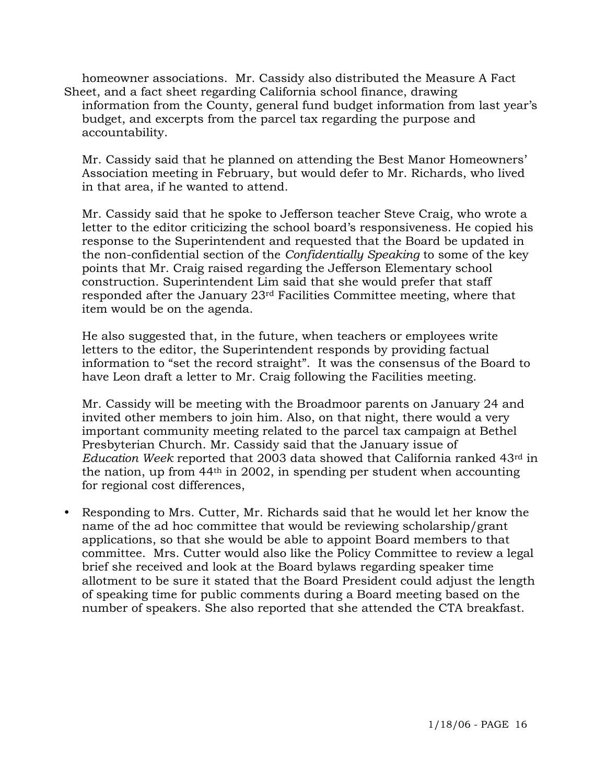homeowner associations. Mr. Cassidy also distributed the Measure A Fact Sheet, and a fact sheet regarding California school finance, drawing information from the County, general fund budget information from last year's budget, and excerpts from the parcel tax regarding the purpose and accountability.

 Mr. Cassidy said that he planned on attending the Best Manor Homeowners' Association meeting in February, but would defer to Mr. Richards, who lived in that area, if he wanted to attend.

 Mr. Cassidy said that he spoke to Jefferson teacher Steve Craig, who wrote a letter to the editor criticizing the school board's responsiveness. He copied his response to the Superintendent and requested that the Board be updated in the non-confidential section of the *Confidentially Speaking* to some of the key points that Mr. Craig raised regarding the Jefferson Elementary school construction. Superintendent Lim said that she would prefer that staff responded after the January 23rd Facilities Committee meeting, where that item would be on the agenda.

 He also suggested that, in the future, when teachers or employees write letters to the editor, the Superintendent responds by providing factual information to "set the record straight". It was the consensus of the Board to have Leon draft a letter to Mr. Craig following the Facilities meeting.

 Mr. Cassidy will be meeting with the Broadmoor parents on January 24 and invited other members to join him. Also, on that night, there would a very important community meeting related to the parcel tax campaign at Bethel Presbyterian Church. Mr. Cassidy said that the January issue of *Education Week* reported that 2003 data showed that California ranked 43rd in the nation, up from 44th in 2002, in spending per student when accounting for regional cost differences,

• Responding to Mrs. Cutter, Mr. Richards said that he would let her know the name of the ad hoc committee that would be reviewing scholarship/grant applications, so that she would be able to appoint Board members to that committee. Mrs. Cutter would also like the Policy Committee to review a legal brief she received and look at the Board bylaws regarding speaker time allotment to be sure it stated that the Board President could adjust the length of speaking time for public comments during a Board meeting based on the number of speakers. She also reported that she attended the CTA breakfast.